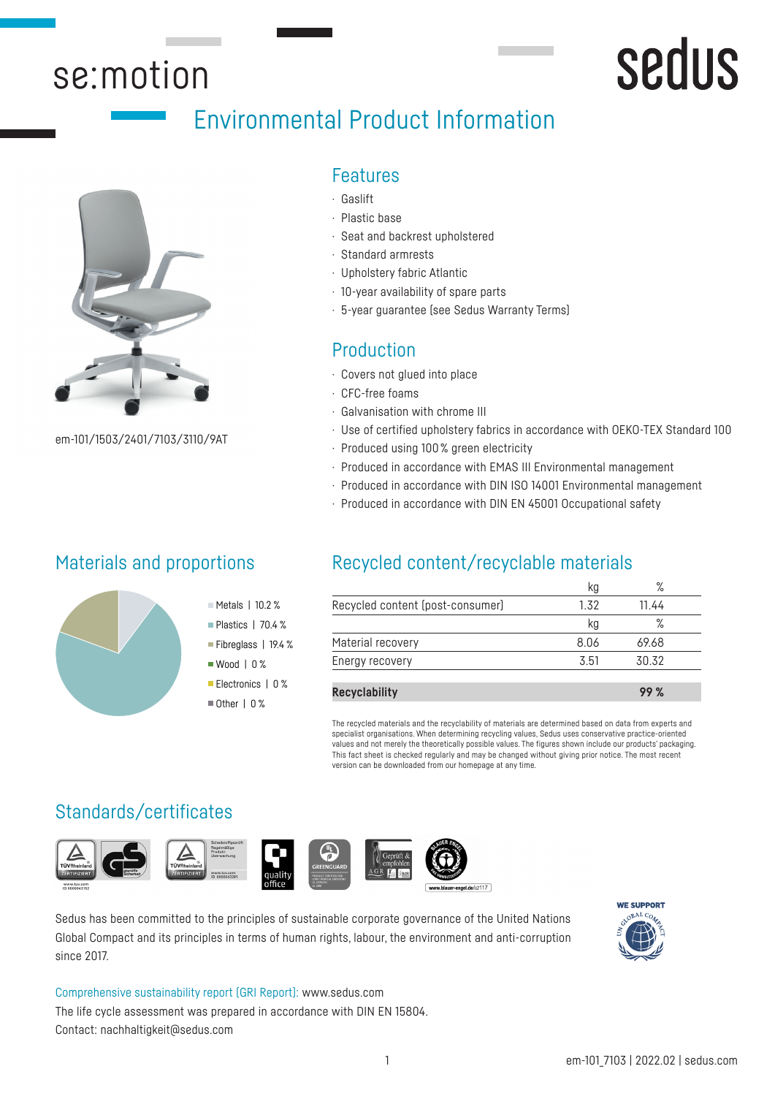## se:motion

## Environmental Product Information



em-101/1503/2401/7103/3110/9AT

## Materials and proportions



## Features

- · Gaslift
- · Plastic base
- · Seat and backrest upholstered
- · Standard armrests
- · Upholstery fabric Atlantic
- · 10-year availability of spare parts
- · 5-year guarantee (see Sedus Warranty Terms)

## Production

- · Covers not glued into place
- · CFC-free foams
- · Galvanisation with chrome III
- · Use of certified upholstery fabrics in accordance with OEKO-TEX Standard 100
- · Produced using 100 % green electricity
- · Produced in accordance with EMAS III Environmental management
- · Produced in accordance with DIN ISO 14001 Environmental management
- · Produced in accordance with DIN EN 45001 Occupational safety

## Recycled content/recyclable materials

|                                  | kg   | %     |  |
|----------------------------------|------|-------|--|
| Recycled content (post-consumer) | 1.32 | 11.44 |  |
|                                  | kg   | %     |  |
| Material recovery                | 8.06 | 69.68 |  |
| Energy recovery                  | 3.51 | 30.32 |  |
|                                  |      |       |  |
| <b>Recyclability</b>             |      | 99 %  |  |

The recycled materials and the recyclability of materials are determined based on data from experts and specialist organisations. When determining recycling values, Sedus uses conservative practice-oriented values and not merely the theoretically possible values. The figures shown include our products' packaging. This fact sheet is checked regularly and may be changed without giving prior notice. The most recent version can be downloaded from our homepage at any time.

## Standards/certificates





Metals | 10.2 % Plastics | 70.4 % Fibreglass | 19.4 % ■ Wood | 0 % Electronics | 0 %  $\blacksquare$  Other | 0 %





 $rel.de/uz117$ 

Sedus has been committed to the principles of sustainable corporate governance of the United Nations Global Compact and its principles in terms of human rights, labour, the environment and anti-corruption since 2017.



sedus

Comprehensive sustainability report (GRI Report): www.sedus.com The life cycle assessment was prepared in accordance with DIN EN 15804. Contact: nachhaltigkeit@sedus.com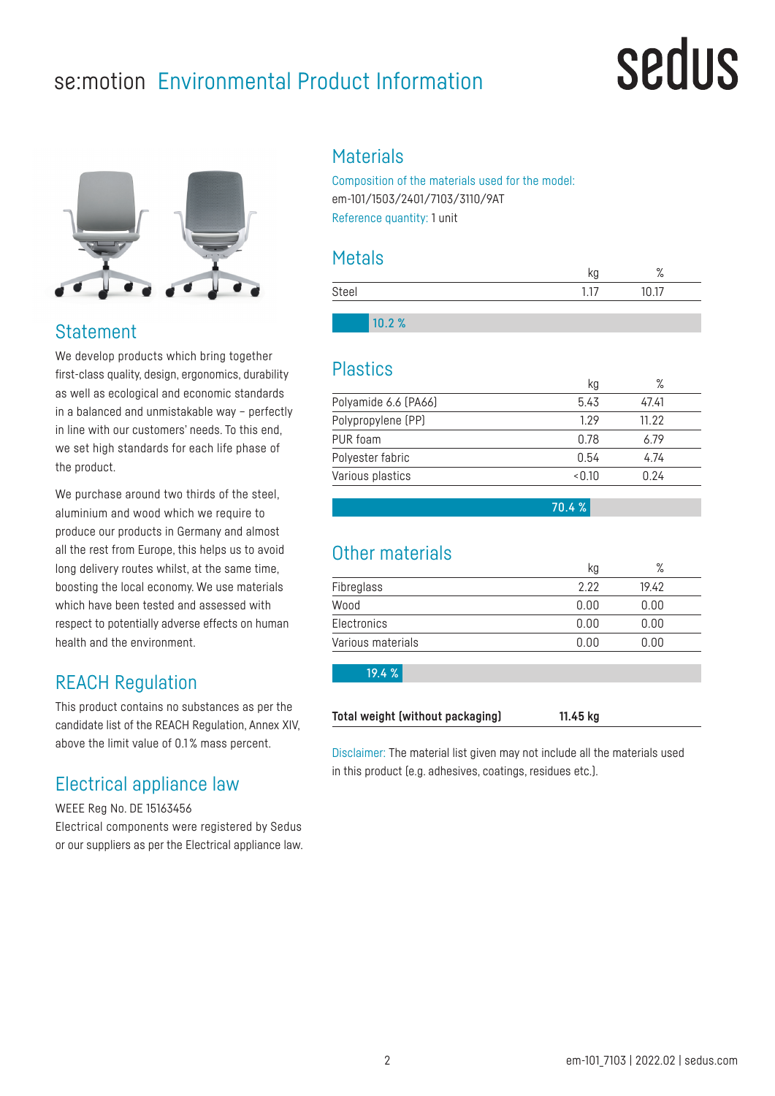## se:motion Environmental Product Information

## sedus



## Statement

We develop products which bring together first-class quality, design, ergonomics, durability as well as ecological and economic standards in a balanced and unmistakable way – perfectly in line with our customers' needs. To this end, we set high standards for each life phase of the product.

We purchase around two thirds of the steel. aluminium and wood which we require to produce our products in Germany and almost all the rest from Europe, this helps us to avoid long delivery routes whilst, at the same time, boosting the local economy. We use materials which have been tested and assessed with respect to potentially adverse effects on human health and the environment.

## REACH Regulation

This product contains no substances as per the candidate list of the REACH Regulation, Annex XIV, above the limit value of 0.1 % mass percent.

## Electrical appliance law

WEEE Reg No. DE 15163456 Electrical components were registered by Sedus or our suppliers as per the Electrical appliance law.

## **Materials**

Composition of the materials used for the model: em-101/1503/2401/7103/3110/9AT Reference quantity: 1 unit

### Metals

|       | o.<br>70 |
|-------|----------|
| Steel | <br>17   |
|       |          |

10.2 %

### Plastics

|        | ℅     |
|--------|-------|
| 5.43   | 47.41 |
| 1.29   | 11.22 |
| 0.78   | 6.79  |
| 0.54   | 4.74  |
| < 0.10 | 0.24  |
|        |       |

70.4 %

## Other materials

|                   | kg   | $\circ$<br>/о |  |
|-------------------|------|---------------|--|
| Fibreglass        | 2.22 | 19.42         |  |
| Wood              | 0.00 | 0.00          |  |
| Electronics       | 0.00 | 0.00          |  |
| Various materials | 0.00 | 0.00          |  |
|                   |      |               |  |

19.4 %

**Total weight (without packaging) 11.45 kg**

Disclaimer: The material list given may not include all the materials used in this product (e.g. adhesives, coatings, residues etc.).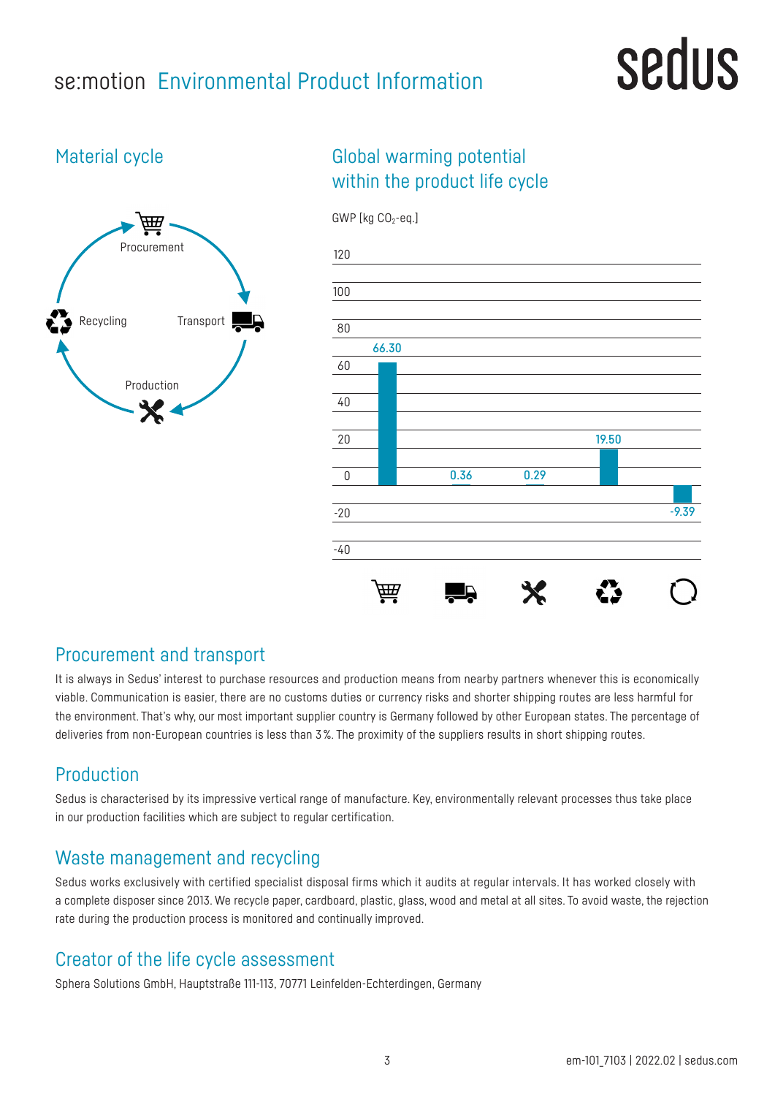## se:motion Environmental Product Information

# sedus

## Material cycle



## Global warming potential within the product life cycle



### Procurement and transport

It is always in Sedus' interest to purchase resources and production means from nearby partners whenever this is economically viable. Communication is easier, there are no customs duties or currency risks and shorter shipping routes are less harmful for the environment. That's why, our most important supplier country is Germany followed by other European states. The percentage of deliveries from non-European countries is less than 3 %. The proximity of the suppliers results in short shipping routes.

## Production

Sedus is characterised by its impressive vertical range of manufacture. Key, environmentally relevant processes thus take place in our production facilities which are subject to regular certification.

## Waste management and recycling

Sedus works exclusively with certified specialist disposal firms which it audits at regular intervals. It has worked closely with a complete disposer since 2013. We recycle paper, cardboard, plastic, glass, wood and metal at all sites. To avoid waste, the rejection rate during the production process is monitored and continually improved.

## Creator of the life cycle assessment

Sphera Solutions GmbH, Hauptstraße 111-113, 70771 Leinfelden-Echterdingen, Germany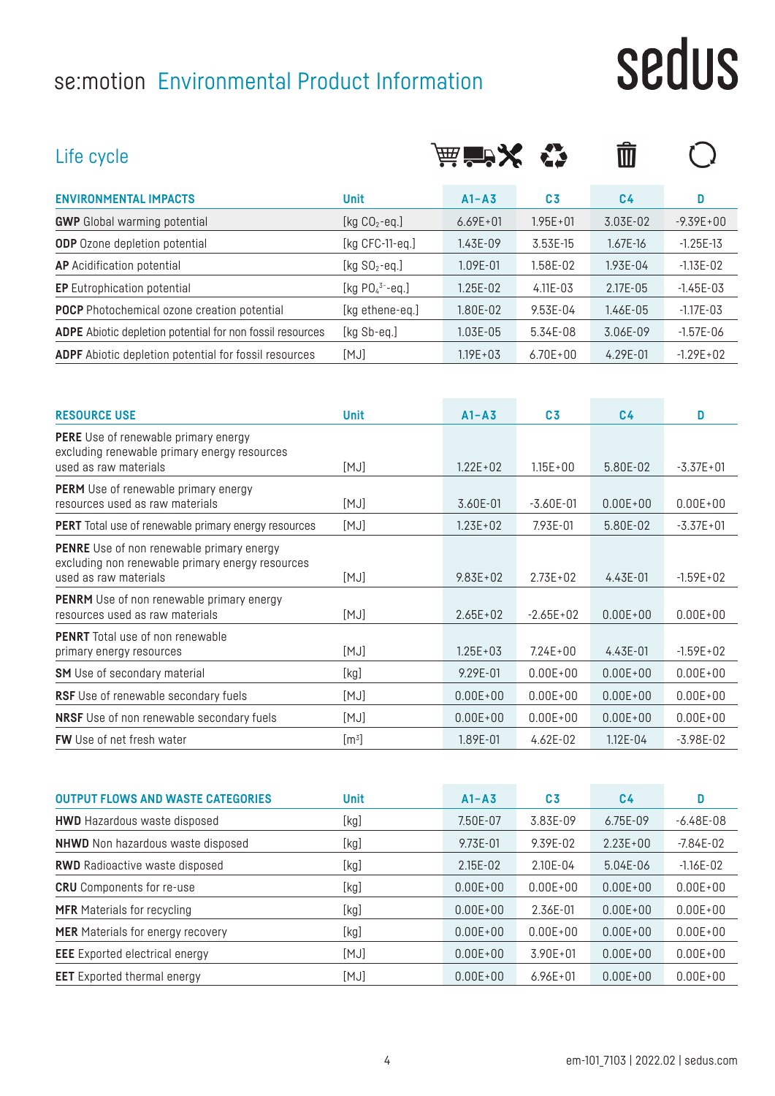## se:motion Environmental Product Information

# sedus

| Life cycle                                                                                                                    |                       | 演賞※          |                | Ŵ              |               |
|-------------------------------------------------------------------------------------------------------------------------------|-----------------------|--------------|----------------|----------------|---------------|
| <b>ENVIRONMENTAL IMPACTS</b>                                                                                                  | <b>Unit</b>           | $A1 - A3$    | C <sub>3</sub> | C <sub>4</sub> | D             |
| <b>GWP</b> Global warming potential                                                                                           | [kg $CO2$ -eq.]       | $6.69E + 01$ | $1.95E + 01$   | 3.03E-02       | $-9.39E + 00$ |
| <b>ODP</b> Ozone depletion potential                                                                                          | [ $kg$ CFC-11-eq.]    | 1.43E-09     | 3.53E-15       | 1.67E-16       | $-1.25E-13$   |
| <b>AP</b> Acidification potential                                                                                             | [kg $SO_2$ -eq.]      | 1.09E-01     | 1.58E-02       | 1.93E-04       | $-1.13E-02$   |
| <b>EP</b> Eutrophication potential                                                                                            | [kg $PO_4^{3-}$ -eq.] | 1.25E-02     | 4.11E-03       | 2.17E-05       | $-1.45E-03$   |
| <b>POCP</b> Photochemical ozone creation potential                                                                            | [kg ethene-eq.]       | 1.80E-02     | 9.53E-04       | 1.46E-05       | $-1.17E - 03$ |
| <b>ADPE</b> Abiotic depletion potential for non fossil resources                                                              | [kg Sb-eq.]           | 1.03E-05     | 5.34E-08       | 3.06E-09       | $-1.57E-06$   |
| <b>ADPF</b> Abiotic depletion potential for fossil resources                                                                  | [MJ]                  | $1.19E + 03$ | $6.70E + 00$   | 4.29E-01       | $-1.29E + 02$ |
| <b>RESOURCE USE</b>                                                                                                           | <b>Unit</b>           | $A1 - A3$    | C <sub>3</sub> | C <sub>4</sub> | D             |
| <b>PERE</b> Use of renewable primary energy<br>excluding renewable primary energy resources<br>used as raw materials          | [MJ]                  | $1.22E + 02$ | $1.15E + 00$   | 5.80E-02       | $-3.37E + 01$ |
| <b>PERM</b> Use of renewable primary energy<br>resources used as raw materials                                                | [MJ]                  | 3.60E-01     | $-3.60E-01$    | $0.00E + 00$   | $0.00E + 00$  |
| <b>PERT</b> Total use of renewable primary energy resources                                                                   | [MJ]                  | $1.23E + 02$ | 7.93E-01       | 5.80E-02       | $-3.37E + 01$ |
| <b>PENRE</b> Use of non renewable primary energy<br>excluding non renewable primary energy resources<br>used as raw materials | [MJ]                  | $9.83E + 02$ | $2.73E + 02$   | 4.43E-01       | $-1.59E + 02$ |
| <b>PENRM</b> Use of non renewable primary energy<br>resources used as raw materials                                           | [MJ]                  | $2.65E + 02$ | $-2.65E + 02$  | $0.00E + 00$   | $0.00E + 00$  |
| <b>PENRT</b> Total use of non renewable<br>primary energy resources                                                           | [MJ]                  | $1.25E + 03$ | $7.24E + 00$   | 4.43E-01       | $-1.59E + 02$ |
| <b>SM</b> Use of secondary material                                                                                           | [kg]                  | 9.29E-01     | $0.00E + 00$   | $0.00E + 00$   | $0.00E + 00$  |

| <b>OUTPUT FLOWS AND WASTE CATEGORIES</b> | <b>Unit</b> | $A1 - A3$    | C <sub>3</sub> | C <sub>4</sub> | D            |
|------------------------------------------|-------------|--------------|----------------|----------------|--------------|
| <b>HWD</b> Hazardous waste disposed      | [kg]        | 7.50E-07     | 3.83E-09       | 6.75E-09       | $-6.48E-08$  |
| <b>NHWD</b> Non hazardous waste disposed | [kg]        | 9.73E-01     | 9.39E-02       | $2.23E + 00$   | $-7.84E-02$  |
| <b>RWD</b> Radioactive waste disposed    | [kg]        | 2.15E-02     | 2.10E-04       | 5.04E-06       | $-1.16E-02$  |
| <b>CRU</b> Components for re-use         | [kg]        | $0.00E + 00$ | $0.00E + 00$   | $0.00E + 00$   | $0.00E + 00$ |
| <b>MFR</b> Materials for recycling       | [kg]        | $0.00E + 00$ | 2.36E-01       | $0.00E + 00$   | $0.00E + 00$ |
| <b>MER</b> Materials for energy recovery | [kg]        | $0.00E + 00$ | $0.00E + 00$   | $0.00E + 00$   | $0.00E + 00$ |
| <b>EEE</b> Exported electrical energy    | [MJ]        | $0.00E + 00$ | $3.90E + 01$   | $0.00E + 00$   | $0.00E + 00$ |
| <b>EET</b> Exported thermal energy       | [MJ]        | $0.00E + 00$ | $6.96E + 01$   | $0.00E + 00$   | $0.00E + 00$ |

**RSF** Use of renewable secondary fuels [MJ] 0.00E+00 0.00E+00 0.00E+00 0.00E+00 0.00E+00 **NRSF** Use of non renewable secondary fuels [MJ] 0.00E+00 0.00E+00 0.00E+00 0.00E+00 0.00E+00

**FW** Use of net fresh water  $[m^3]$ 

] 1.89E-01 4.62E-02 1.12E-04 -3.98E-02